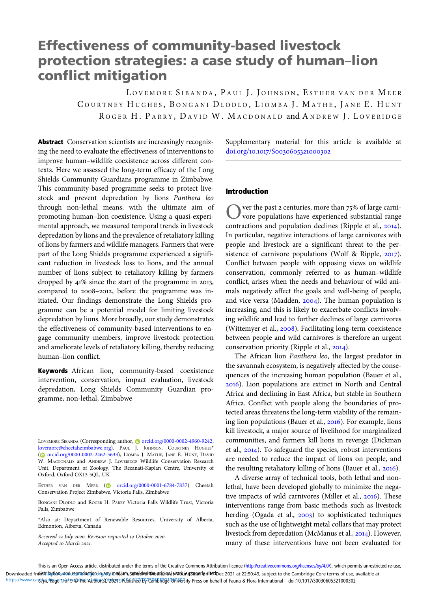# Effectiveness of community-based livestock protection strategies: a case study of human–lion conflict mitigation

LOVEMORE SIBANDA, PAUL J. JOHNSON, ESTHER VAN DER MEER COURTNEY HUGHES, BONGANI DLODLO, LIOMBA J. MATHE, JANE E. HUNT ROGER H. PARRY, DAVID W. MACDONALD and ANDREW J. LOVERIDGE

Abstract Conservation scientists are increasingly recognizing the need to evaluate the effectiveness of interventions to improve human–wildlife coexistence across different contexts. Here we assessed the long-term efficacy of the Long Shields Community Guardians programme in Zimbabwe. This community-based programme seeks to protect livestock and prevent depredation by lions Panthera leo through non-lethal means, with the ultimate aim of promoting human–lion coexistence. Using a quasi-experimental approach, we measured temporal trends in livestock depredation by lions and the prevalence of retaliatory killing of lions by farmers and wildlife managers. Farmers that were part of the Long Shields programme experienced a significant reduction in livestock loss to lions, and the annual number of lions subject to retaliatory killing by farmers dropped by  $41\%$  since the start of the programme in 2013, compared to 2008-2012, before the programme was initiated. Our findings demonstrate the Long Shields programme can be a potential model for limiting livestock depredation by lions. More broadly, our study demonstrates the effectiveness of community-based interventions to engage community members, improve livestock protection and ameliorate levels of retaliatory killing, thereby reducing human–lion conflict.

Keywords African lion, community-based coexistence intervention, conservation, impact evaluation, livestock depredation, Long Shields Community Guardian programme, non-lethal, Zimbabwe

LOVEMORE SIBANDA (Corresponding author, @ [orcid.org/0000-0002-4960-9242](https://orcid.org/0000-0002-4960-9242), [lovemore@cheetahzimbabwe.org\)](mailto:lovemore@cheetahzimbabwe.org), PAUL J. JOHNSON, COURTNEY HUGHES\* ( [orcid.org/0000-0002-2462-5633](https://orcid.org/0000-0002-2462-5633)), LIOMBA J. MATHE, JANE E. HUNT, DAVID W. MACDONALD and ANDREW J. LOVERIDGE Wildlife Conservation Research Unit, Department of Zoology, The Recanati-Kaplan Centre, University of Oxford, Oxford OX13 5QL, UK

ESTHER VAN DER MEER ( [orcid.org/0000-0001-6784-7837\)](https://orcid.org/0000-0001-6784-7837) Cheetah Conservation Project Zimbabwe, Victoria Falls, Zimbabwe

BONGANI DLODLO and ROGER H. PARRY Victoria Falls Wildlife Trust, Victoria Falls, Zimbabwe

\*Also at: Department of Renewable Resources, University of Alberta, Edmonton, Alberta, Canada

Received 23 July 2020. Revision requested 14 October 2020. Accepted 10 March 2021.

Supplementary material for this article is available at doi.org/10.1017/S0030605321000302

#### Introduction

ver the past  $\alpha$  centuries, more than  $75\%$  of large carnivore populations have experienced substantial range contractions and population declines (Ripple et al.,  $2014$ ). In particular, negative interactions of large carnivores with people and livestock are a significant threat to the persistence of carnivore populations (Wolf & Ripple,  $2017$ ). Conflict between people with opposing views on wildlife conservation, commonly referred to as human–wildlife conflict, arises when the needs and behaviour of wild animals negatively affect the goals and well-being of people, and vice versa (Madden,  $2004$ ). The human population is increasing, and this is likely to exacerbate conflicts involving wildlife and lead to further declines of large carnivores (Wittemyer et al., 2008). Facilitating long-term coexistence between people and wild carnivores is therefore an urgent conservation priority (Ripple et al., 2014).

The African lion Panthera leo, the largest predator in the savannah ecosystem, is negatively affected by the consequences of the increasing human population (Bauer et al., ). Lion populations are extinct in North and Central Africa and declining in East Africa, but stable in Southern Africa. Conflict with people along the boundaries of protected areas threatens the long-term viability of the remaining lion populations (Bauer et al.,  $2016$ ). For example, lions kill livestock, a major source of livelihood for marginalized communities, and farmers kill lions in revenge (Dickman et al., 2014). To safeguard the species, robust interventions are needed to reduce the impact of lions on people, and the resulting retaliatory killing of lions (Bauer et al., 2016).

A diverse array of technical tools, both lethal and nonlethal, have been developed globally to minimize the negative impacts of wild carnivores (Miller et al.,  $2016$ ). These interventions range from basic methods such as livestock herding (Ogada et al.,  $2003$ ) to sophisticated techniques such as the use of lightweight metal collars that may protect livestock from depredation (McManus et al., 2014). However, many of these interventions have not been evaluated for

This is an Open Access article, distributed under the terms of the Creative Commons Attribution licence (<http://creativecommons.org/licenses/by/4.0/>), which permits unrestricted re-use, Downloaded fr**olistribution, and reproductjen.in any medium, spovided the original work in 1980 per by died by cases (1990) at 22:50:49, subject to the Cambridge Core terms of use, available at** https://www.carghxideagerg/6F9%@4he%bither(s)/dz0219Published byCanaBhade University Press on behalf of Fauna & Flora International doi:10.1017/50030605321000302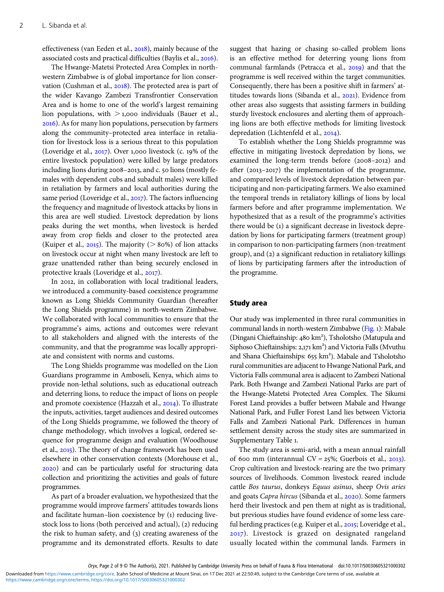effectiveness (van Eeden et al., 2018), mainly because of the associated costs and practical difficulties (Baylis et al., 2016).

The Hwange-Matetsi Protected Area Complex in northwestern Zimbabwe is of global importance for lion conservation (Cushman et al., 2018). The protected area is part of the wider Kavango Zambezi Transfrontier Conservation Area and is home to one of the world's largest remaining lion populations, with  $>$  1,000 individuals (Bauer et al., ). As for many lion populations, persecution by farmers along the community–protected area interface in retaliation for livestock loss is a serious threat to this population (Loveridge et al.,  $2017$ ). Over 1,000 livestock (c. 19% of the entire livestock population) were killed by large predators including lions during  $2008 - 2013$ , and c.  $50$  lions (mostly females with dependent cubs and subadult males) were killed in retaliation by farmers and local authorities during the same period (Loveridge et al., 2017). The factors influencing the frequency and magnitude of livestock attacks by lions in this area are well studied. Livestock depredation by lions peaks during the wet months, when livestock is herded away from crop fields and closer to the protected area (Kuiper et al., 2015). The majority ( $> 80\%$ ) of lion attacks on livestock occur at night when many livestock are left to graze unattended rather than being securely enclosed in protective kraals (Loveridge et al., 2017).

In 2012, in collaboration with local traditional leaders, we introduced a community-based coexistence programme known as Long Shields Community Guardian (hereafter the Long Shields programme) in north-western Zimbabwe. We collaborated with local communities to ensure that the programme's aims, actions and outcomes were relevant to all stakeholders and aligned with the interests of the community, and that the programme was locally appropriate and consistent with norms and customs.

The Long Shields programme was modelled on the Lion Guardians programme in Amboseli, Kenya, which aims to provide non-lethal solutions, such as educational outreach and deterring lions, to reduce the impact of lions on people and promote coexistence (Hazzah et al., 2014). To illustrate the inputs, activities, target audiences and desired outcomes of the Long Shields programme, we followed the theory of change methodology, which involves a logical, ordered sequence for programme design and evaluation (Woodhouse et al., 2015). The theory of change framework has been used elsewhere in other conservation contexts (Morehouse et al., ) and can be particularly useful for structuring data collection and prioritizing the activities and goals of future programmes.

As part of a broader evaluation, we hypothesized that the programme would improve farmers' attitudes towards lions and facilitate human–lion coexistence by  $(i)$  reducing livestock loss to lions (both perceived and actual), (2) reducing the risk to human safety, and  $(3)$  creating awareness of the programme and its demonstrated efforts. Results to date

suggest that hazing or chasing so-called problem lions is an effective method for deterring young lions from communal farmlands (Petracca et al., 2019) and that the programme is well received within the target communities. Consequently, there has been a positive shift in farmers' attitudes towards lions (Sibanda et al., 2021). Evidence from other areas also suggests that assisting farmers in building sturdy livestock enclosures and alerting them of approaching lions are both effective methods for limiting livestock depredation (Lichtenfeld et al., 2014).

To establish whether the Long Shields programme was effective in mitigating livestock depredation by lions, we examined the long-term trends before (2008-2012) and after  $(2013-2017)$  the implementation of the programme, and compared levels of livestock depredation between participating and non-participating farmers. We also examined the temporal trends in retaliatory killings of lions by local farmers before and after programme implementation. We hypothesized that as a result of the programme's activities there would be (1) a significant decrease in livestock depredation by lions for participating farmers (treatment group) in comparison to non-participating farmers (non-treatment group), and  $(2)$  a significant reduction in retaliatory killings of lions by participating farmers after the introduction of the programme.

## Study area

Our study was implemented in three rural communities in communal lands in north-western Zimbabwe ([Fig.](#page-2-0) ): Mabale (Dingani Chieftainship: 480 km<sup>2</sup>), Tsholotsho (Matupula and Siphoso Chieftainships: 2,171 km<sup>2</sup>) and Victoria Falls (Mvuthu and Shana Chieftainships: 655 km<sup>2</sup>). Mabale and Tsholotsho rural communities are adjacent to Hwange National Park, and Victoria Falls communal area is adjacent to Zambezi National Park. Both Hwange and Zambezi National Parks are part of the Hwange-Matetsi Protected Area Complex. The Sikumi Forest Land provides a buffer between Mabale and Hwange National Park, and Fuller Forest Land lies between Victoria Falls and Zambezi National Park. Differences in human settlement density across the study sites are summarized in Supplementary Table 1.

The study area is semi-arid, with a mean annual rainfall of 600 mm (interannual CV =  $25\%$ ; Guerbois et al.,  $2013$ ). Crop cultivation and livestock-rearing are the two primary sources of livelihoods. Common livestock reared include cattle Bos taurus, donkeys Equus asinus, sheep Ovis aries and goats Capra hircus (Sibanda et al., 2020). Some farmers herd their livestock and pen them at night as is traditional, but previous studies have found evidence of some less careful herding practices (e.g. Kuiper et al., 2015; Loveridge et al., ). Livestock is grazed on designated rangeland usually located within the communal lands. Farmers in

Downloaded from<https://www.cambridge.org/core>. Icahn School of Medicine at Mount Sinai, on 17 Dec 2021 at 22:50:49, subject to the Cambridge Core terms of use, available at

<https://www.cambridge.org/core/terms>.<https://doi.org/10.1017/S0030605321000302>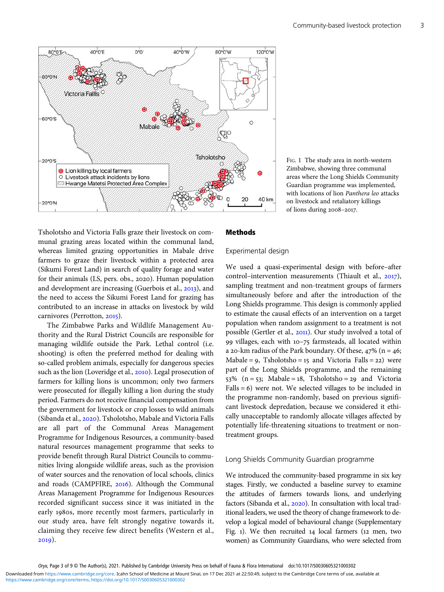<span id="page-2-0"></span>

FIG. 1 The study area in north-western Zimbabwe, showing three communal areas where the Long Shields Community Guardian programme was implemented, with locations of lion Panthera leo attacks on livestock and retaliatory killings of lions during 2008-2017.

Tsholotsho and Victoria Falls graze their livestock on communal grazing areas located within the communal land, whereas limited grazing opportunities in Mabale drive farmers to graze their livestock within a protected area (Sikumi Forest Land) in search of quality forage and water for their animals (LS, pers. obs., 2020). Human population and development are increasing (Guerbois et al.,  $2013$ ), and the need to access the Sikumi Forest Land for grazing has contributed to an increase in attacks on livestock by wild carnivores (Perrotton, 2015).

The Zimbabwe Parks and Wildlife Management Authority and the Rural District Councils are responsible for managing wildlife outside the Park. Lethal control (i.e. shooting) is often the preferred method for dealing with so-called problem animals, especially for dangerous species such as the lion (Loveridge et al., 2010). Legal prosecution of farmers for killing lions is uncommon; only two farmers were prosecuted for illegally killing a lion during the study period. Farmers do not receive financial compensation from the government for livestock or crop losses to wild animals (Sibanda et al., 2020). Tsholotsho, Mabale and Victoria Falls are all part of the Communal Areas Management Programme for Indigenous Resources, a community-based natural resources management programme that seeks to provide benefit through Rural District Councils to communities living alongside wildlife areas, such as the provision of water sources and the renovation of local schools, clinics and roads (CAMPFIRE, 2016). Although the Communal Areas Management Programme for Indigenous Resources recorded significant success since it was initiated in the early 1980s, more recently most farmers, particularly in our study area, have felt strongly negative towards it, claiming they receive few direct benefits (Western et al.,  $2019$ ).

# Methods

## Experimental design

We used a quasi-experimental design with before–after control–intervention measurements (Thiault et al.,  $2017$ ), sampling treatment and non-treatment groups of farmers simultaneously before and after the introduction of the Long Shields programme. This design is commonly applied to estimate the causal effects of an intervention on a target population when random assignment to a treatment is not possible (Gertler et al., 2011). Our study involved a total of 99 villages, each with  $10-75$  farmsteads, all located within a 20-km radius of the Park boundary. Of these,  $47\%$  (n = 46; Mabale =  $9$ , Tsholotsho =  $15$  and Victoria Falls =  $22$ ) were part of the Long Shields programme, and the remaining 53% ( $n = 53$ ; Mabale = 18, Tsholotsho = 29 and Victoria Falls  $= 6$ ) were not. We selected villages to be included in the programme non-randomly, based on previous significant livestock depredation, because we considered it ethically unacceptable to randomly allocate villages affected by potentially life-threatening situations to treatment or nontreatment groups.

#### Long Shields Community Guardian programme

We introduced the community-based programme in six key stages. Firstly, we conducted a baseline survey to examine the attitudes of farmers towards lions, and underlying factors (Sibanda et al., 2020). In consultation with local traditional leaders, we used the theory of change framework to develop a logical model of behavioural change (Supplementary Fig. 1). We then recruited  $14$  local farmers ( $12$  men, two women) as Community Guardians, who were selected from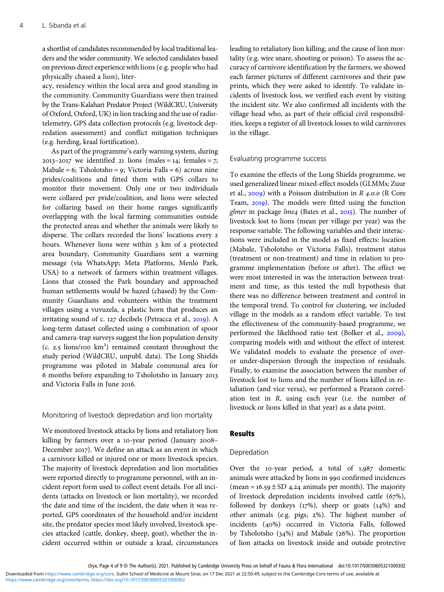a shortlist of candidates recommended by local traditional leaders and the wider community. We selected candidates based on previous direct experience with lions (e.g. people who had physically chased a lion), liter-

acy, residency within the local area and good standing in the community. Community Guardians were then trained by the Trans-Kalahari Predator Project (WildCRU, University of Oxford, Oxford, UK) in lion tracking and the use of radiotelemetry, GPS data collection protocols (e.g. livestock depredation assessment) and conflict mitigation techniques (e.g. herding, kraal fortification).

As part of the programme's early warning system, during  $2013 - 2017$  we identified 21 lions (males = 14; females = 7; Mabale = 6; Tsholotsho = 9; Victoria Falls = 6) across nine prides/coalitions and fitted them with GPS collars to monitor their movement. Only one or two individuals were collared per pride/coalition, and lions were selected for collaring based on their home ranges significantly overlapping with the local farming communities outside the protected areas and whether the animals were likely to disperse. The collars recorded the lions' locations every 2 hours. Whenever lions were within 3 km of a protected area boundary, Community Guardians sent a warning message (via WhatsApp; Meta Platforms, Menlo Park, USA) to a network of farmers within treatment villages. Lions that crossed the Park boundary and approached human settlements would be hazed (chased) by the Community Guardians and volunteers within the treatment villages using a vuvuzela, a plastic horn that produces an irritating sound of c.  $127$  decibels (Petracca et al.,  $2019$ ). A long-term dataset collected using a combination of spoor and camera-trap surveys suggest the lion population density  $(c. 2.5$  lions/100  $km<sup>2</sup>$ ) remained constant throughout the study period (WildCRU, unpubl. data). The Long Shields programme was piloted in Mabale communal area for 6 months before expanding to Tsholotsho in January 2013 and Victoria Falls in June 2016.

## Monitoring of livestock depredation and lion mortality

We monitored livestock attacks by lions and retaliatory lion killing by farmers over a 10-year period (January 2008-December 2017). We define an attack as an event in which a carnivore killed or injured one or more livestock species. The majority of livestock depredation and lion mortalities were reported directly to programme personnel, with an incident report form used to collect event details. For all incidents (attacks on livestock or lion mortality), we recorded the date and time of the incident, the date when it was reported, GPS coordinates of the household and/or incident site, the predator species most likely involved, livestock species attacked (cattle, donkey, sheep, goat), whether the incident occurred within or outside a kraal, circumstances

leading to retaliatory lion killing, and the cause of lion mortality (e.g. wire snare, shooting or poison). To assess the accuracy of carnivore identification by the farmers, we showed each farmer pictures of different carnivores and their paw prints, which they were asked to identify. To validate incidents of livestock loss, we verified each event by visiting the incident site. We also confirmed all incidents with the village head who, as part of their official civil responsibilities, keeps a register of all livestock losses to wild carnivores in the village.

## Evaluating programme success

To examine the effects of the Long Shields programme, we used generalized linear mixed-effect models (GLMMs; Zuur et al.,  $2009$ ) with a Poisson distribution in R 4.0.0 (R Core Team, 2019). The models were fitted using the function glmer in package lme4 (Bates et al.,  $2015$ ). The number of livestock lost to lions (mean per village per year) was the response variable. The following variables and their interactions were included in the model as fixed effects: location (Mabale, Tsholotsho or Victoria Falls), treatment status (treatment or non-treatment) and time in relation to programme implementation (before or after). The effect we were most interested in was the interaction between treatment and time, as this tested the null hypothesis that there was no difference between treatment and control in the temporal trend. To control for clustering, we included village in the models as a random effect variable. To test the effectiveness of the community-based programme, we performed the likelihood ratio test (Bolker et al.,  $2009$ ), comparing models with and without the effect of interest. We validated models to evaluate the presence of overor under-dispersion through the inspection of residuals. Finally, to examine the association between the number of livestock lost to lions and the number of lions killed in retaliation (and vice versa), we performed a Pearson correlation test in R, using each year (i.e. the number of livestock or lions killed in that year) as a data point.

#### Results

#### Depredation

Over the  $10$ -year period, a total of  $1,987$  domestic animals were attacked by lions in 990 confirmed incidences (mean =  $16.59 \pm SD$  4.24 animals per month). The majority of livestock depredation incidents involved cattle  $(67\%)$ , followed by donkeys  $(17%)$ , sheep or goats  $(14%)$  and other animals (e.g. pigs;  $2\%$ ). The highest number of incidents (40%) occurred in Victoria Falls, followed by Tsholotsho  $(34%)$  and Mabale  $(26%)$ . The proportion of lion attacks on livestock inside and outside protective

Oryx, Page 4 of 9 © The Author(s), 2021. Published by Cambridge University Press on behalf of Fauna & Flora International doi:10.1017/S0030605321000302

Downloaded from<https://www.cambridge.org/core>. Icahn School of Medicine at Mount Sinai, on 17 Dec 2021 at 22:50:49, subject to the Cambridge Core terms of use, available at

<https://www.cambridge.org/core/terms>.<https://doi.org/10.1017/S0030605321000302>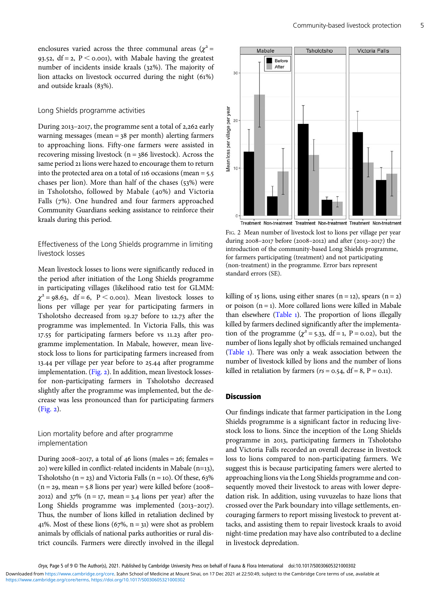<span id="page-4-0"></span>enclosures varied across the three communal areas ( $\chi^2$  = 93.52, df = 2,  $P <$  0.001), with Mabale having the greatest number of incidents inside kraals (32%). The majority of lion attacks on livestock occurred during the night  $(61\%)$ and outside kraals (83%).

#### Long Shields programme activities

During  $2013 - 2017$ , the programme sent a total of  $2,262$  early warning messages (mean  $=$  38 per month) alerting farmers to approaching lions. Fifty-one farmers were assisted in recovering missing livestock ( $n = 386$  livestock). Across the same period 21 lions were hazed to encourage them to return into the protected area on a total of  $116$  occasions (mean =  $5.5$ ) chases per lion). More than half of the chases  $(53%)$  were in Tsholotsho, followed by Mabale (40%) and Victoria Falls (7%). One hundred and four farmers approached Community Guardians seeking assistance to reinforce their kraals during this period.

# Effectiveness of the Long Shields programme in limiting livestock losses

Mean livestock losses to lions were significantly reduced in the period after initiation of the Long Shields programme in participating villages (likelihood ratio test for GLMM:  $\chi^2$  = 98.63, df = 6, P < 0.001). Mean livestock losses to lions per village per year for participating farmers in Tsholotsho decreased from 19.27 before to 12.73 after the programme was implemented. In Victoria Falls, this was 17.55 for participating farmers before vs 11.23 after programme implementation. In Mabale, however, mean livestock loss to lions for participating farmers increased from 13.44 per village per year before to 25.44 after programme implementation. (Fig. 2). In addition, mean livestock lossesfor non-participating farmers in Tsholotsho decreased slightly after the programme was implemented, but the decrease was less pronounced than for participating farmers  $(Fig. 2)$ .

## Lion mortality before and after programme implementation

During  $2008 - 2017$ , a total of  $46$  lions (males =  $26$ ; females =  $20)$  were killed in conflict-related incidents in Mabale (n=13), Tsholotsho ( $n = 23$ ) and Victoria Falls ( $n = 10$ ). Of these, 63%  $(n = 29, \text{mean} = 5.8 \text{ lions per year})$  were killed before (2008– 2012) and  $37\%$  (n = 17, mean = 3.4 lions per year) after the Long Shields programme was implemented (2013-2017). Thus, the number of lions killed in retaliation declined by 41%. Most of these lions  $(67\% , n = 31)$  were shot as problem animals by officials of national parks authorities or rural district councils. Farmers were directly involved in the illegal



FIG. 2 Mean number of livestock lost to lions per village per year during 2008–2017 before (2008–2012) and after (2013–2017) the introduction of the community-based Long Shields programme, for farmers participating (treatment) and not participating (non-treatment) in the programme. Error bars represent standard errors (SE).

killing of 15 lions, using either snares (n = 12), spears (n = 2) or poison  $(n = 1)$ . More collared lions were killed in Mabale than elsewhere ([Table](#page-5-0) 1). The proportion of lions illegally killed by farmers declined significantly after the implementation of the programme ( $\chi^2$  = 5.33, df = 1, P = 0.02), but the number of lions legally shot by officials remained unchanged [\(Table](#page-5-0) ). There was only a weak association between the number of livestock killed by lions and the number of lions killed in retaliation by farmers ( $rs = 0.54$ , df = 8, P = 0.11).

#### **Discussion**

Our findings indicate that farmer participation in the Long Shields programme is a significant factor in reducing livestock loss to lions. Since the inception of the Long Shields programme in 2013, participating farmers in Tsholotsho and Victoria Falls recorded an overall decrease in livestock loss to lions compared to non-participating farmers. We suggest this is because participating famers were alerted to approaching lions via the Long Shields programme and consequently moved their livestock to areas with lower depredation risk. In addition, using vuvuzelas to haze lions that crossed over the Park boundary into village settlements, encouraging farmers to report missing livestock to prevent attacks, and assisting them to repair livestock kraals to avoid night-time predation may have also contributed to a decline in livestock depredation.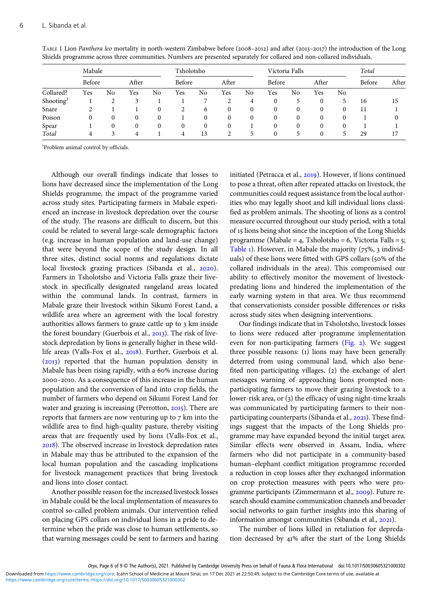|                       | Mabale |    |       |    | Tsholotsho |    |       |          | Victoria Falls |    |          |          | Total  |       |
|-----------------------|--------|----|-------|----|------------|----|-------|----------|----------------|----|----------|----------|--------|-------|
| Collared?             | Before |    | After |    | Before     |    | After |          | Before         |    | After    |          | Before | After |
|                       | Yes    | No | Yes   | No | Yes        | No | Yes   | No       | Yes            | No | Yes      | No       |        |       |
| Shooting <sup>1</sup> |        | ∍  |       |    |            |    | 2     | 4        | 0              | 5  | 0        | 5.       | 16     | 15    |
| Snare                 |        |    |       | 0  |            | 6  |       | 0        | $\Omega$       | 0  | 0        | 0        | 11     |       |
| Poison                | 0      | 0  | 0     | 0  |            |    |       | $\Omega$ | $\Omega$       | 0  | 0        | $\Omega$ |        | 0     |
| Spear                 |        |    | 0     | 0  | 0          |    |       |          | 0              | 0  | 0        | 0        |        |       |
| Total                 | 4      | 3  | 4     |    | 4          | 13 | 2     | 5        | $\Omega$       | 5  | $\Omega$ | 5.       | 29     | 17    |

<span id="page-5-0"></span>TABLE 1 Lion Panthera leo mortality in north-western Zimbabwe before (2008-2012) and after (2013-2017) the introduction of the Long Shields programme across three communities. Numbers are presented separately for collared and non-collared individuals.

Problem animal control by officials.

Although our overall findings indicate that losses to lions have decreased since the implementation of the Long Shields programme, the impact of the programme varied across study sites. Participating farmers in Mabale experienced an increase in livestock depredation over the course of the study. The reasons are difficult to discern, but this could be related to several large-scale demographic factors (e.g. increase in human population and land-use change) that were beyond the scope of the study design. In all three sites, distinct social norms and regulations dictate local livestock grazing practices (Sibanda et al., 2020). Farmers in Tsholotsho and Victoria Falls graze their livestock in specifically designated rangeland areas located within the communal lands. In contrast, farmers in Mabale graze their livestock within Sikumi Forest Land, a wildlife area where an agreement with the local forestry authorities allows farmers to graze cattle up to 3 km inside the forest boundary (Guerbois et al.,  $2013$ ). The risk of livestock depredation by lions is generally higher in these wildlife areas (Valls-Fox et al., 2018). Further, Guerbois et al.  $(2013)$  reported that the human population density in Mabale has been rising rapidly, with a 60% increase during –. As a consequence of this increase in the human population and the conversion of land into crop fields, the number of farmers who depend on Sikumi Forest Land for water and grazing is increasing (Perrotton,  $2015$ ). There are reports that farmers are now venturing up to  $7 \text{ km}$  into the wildlife area to find high-quality pasture, thereby visiting areas that are frequently used by lions (Valls-Fox et al., ). The observed increase in livestock depredation rates in Mabale may thus be attributed to the expansion of the local human population and the cascading implications for livestock management practices that bring livestock and lions into closer contact.

Another possible reason for the increased livestock losses in Mabale could be the local implementation of measures to control so-called problem animals. Our intervention relied on placing GPS collars on individual lions in a pride to determine when the pride was close to human settlements, so that warning messages could be sent to farmers and hazing

initiated (Petracca et al., 2019). However, if lions continued to pose a threat, often after repeated attacks on livestock, the communities could request assistance from the local authorities who may legally shoot and kill individual lions classified as problem animals. The shooting of lions as a control measure occurred throughout our study period, with a total of 15 lions being shot since the inception of the Long Shields programme (Mabale = 4, Tsholotsho = 6, Victoria Falls =  $5$ ; Table 1). However, in Mabale the majority  $(75\%, 3 \text{ individual} - 1)$ uals) of these lions were fitted with GPS collars (50% of the collared individuals in the area). This compromised our ability to effectively monitor the movement of livestockpredating lions and hindered the implementation of the early warning system in that area. We thus recommend that conservationists consider possible differences or risks across study sites when designing interventions.

Our findings indicate that in Tsholotsho, livestock losses to lions were reduced after programme implementation even for non-participating farmers  $(Fig. 2)$  $(Fig. 2)$ . We suggest three possible reasons: (1) lions may have been generally deterred from using communal land, which also benefited non-participating villages,  $(2)$  the exchange of alert messages warning of approaching lions prompted nonparticipating farmers to move their grazing livestock to a lower-risk area, or (3) the efficacy of using night-time kraals was communicated by participating farmers to their nonparticipating counterparts (Sibanda et al., 2021). These findings suggest that the impacts of the Long Shields programme may have expanded beyond the initial target area. Similar effects were observed in Assam, India, where farmers who did not participate in a community-based human–elephant conflict mitigation programme recorded a reduction in crop losses after they exchanged information on crop protection measures with peers who were programme participants (Zimmermann et al., 2009). Future research should examine communication channels and broader social networks to gain further insights into this sharing of information amongst communities (Sibanda et al., 2021).

The number of lions killed in retaliation for depredation decreased by 41% after the start of the Long Shields

<https://www.cambridge.org/core/terms>.<https://doi.org/10.1017/S0030605321000302> Downloaded from<https://www.cambridge.org/core>. Icahn School of Medicine at Mount Sinai, on 17 Dec 2021 at 22:50:49, subject to the Cambridge Core terms of use, available at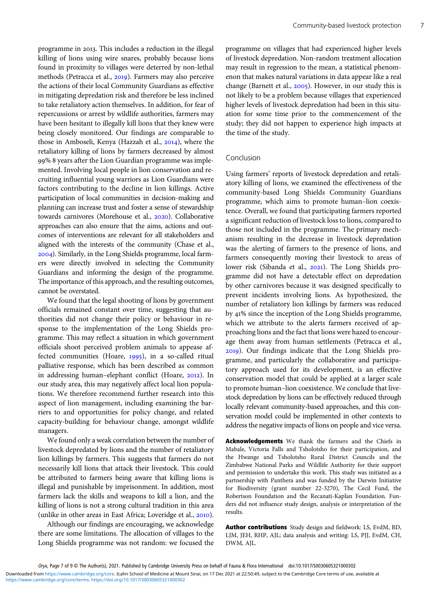programme in 2013. This includes a reduction in the illegal killing of lions using wire snares, probably because lions found in proximity to villages were deterred by non-lethal methods (Petracca et al., 2019). Farmers may also perceive the actions of their local Community Guardians as effective in mitigating depredation risk and therefore be less inclined to take retaliatory action themselves. In addition, for fear of repercussions or arrest by wildlife authorities, farmers may have been hesitant to illegally kill lions that they knew were being closely monitored. Our findings are comparable to those in Amboseli, Kenya (Hazzah et al., 2014), where the retaliatory killing of lions by farmers decreased by almost % years after the Lion Guardian programme was implemented. Involving local people in lion conservation and recruiting influential young warriors as Lion Guardians were factors contributing to the decline in lion killings. Active participation of local communities in decision-making and planning can increase trust and foster a sense of stewardship towards carnivores (Morehouse et al., 2020). Collaborative approaches can also ensure that the aims, actions and outcomes of interventions are relevant for all stakeholders and aligned with the interests of the community (Chase et al., ). Similarly, in the Long Shields programme, local farmers were directly involved in selecting the Community Guardians and informing the design of the programme. The importance of this approach, and the resulting outcomes, cannot be overstated.

We found that the legal shooting of lions by government officials remained constant over time, suggesting that authorities did not change their policy or behaviour in response to the implementation of the Long Shields programme. This may reflect a situation in which government officials shoot perceived problem animals to appease affected communities (Hoare, 1995), in a so-called ritual palliative response, which has been described as common in addressing human-elephant conflict (Hoare, 2012). In our study area, this may negatively affect local lion populations. We therefore recommend further research into this aspect of lion management, including examining the barriers to and opportunities for policy change, and related capacity-building for behaviour change, amongst wildlife managers.

We found only a weak correlation between the number of livestock depredated by lions and the number of retaliatory lion killings by farmers. This suggests that farmers do not necessarily kill lions that attack their livestock. This could be attributed to farmers being aware that killing lions is illegal and punishable by imprisonment. In addition, most farmers lack the skills and weapons to kill a lion, and the killing of lions is not a strong cultural tradition in this area (unlike in other areas in East Africa; Loveridge et al.,  $2010$ ).

Although our findings are encouraging, we acknowledge there are some limitations. The allocation of villages to the Long Shields programme was not random: we focused the programme on villages that had experienced higher levels of livestock depredation. Non-random treatment allocation may result in regression to the mean, a statistical phenomenon that makes natural variations in data appear like a real change (Barnett et al.,  $2005$ ). However, in our study this is not likely to be a problem because villages that experienced higher levels of livestock depredation had been in this situation for some time prior to the commencement of the study; they did not happen to experience high impacts at the time of the study.

#### Conclusion

Using farmers' reports of livestock depredation and retaliatory killing of lions, we examined the effectiveness of the community-based Long Shields Community Guardians programme, which aims to promote human–lion coexistence. Overall, we found that participating farmers reported a significant reduction of livestock loss to lions, compared to those not included in the programme. The primary mechanism resulting in the decrease in livestock depredation was the alerting of farmers to the presence of lions, and farmers consequently moving their livestock to areas of lower risk (Sibanda et al., 2021). The Long Shields programme did not have a detectable effect on depredation by other carnivores because it was designed specifically to prevent incidents involving lions. As hypothesized, the number of retaliatory lion killings by farmers was reduced by 41% since the inception of the Long Shields programme, which we attribute to the alerts farmers received of approaching lions and the fact that lions were hazed to encourage them away from human settlements (Petracca et al., ). Our findings indicate that the Long Shields programme, and particularly the collaborative and participatory approach used for its development, is an effective conservation model that could be applied at a larger scale to promote human–lion coexistence. We conclude that livestock depredation by lions can be effectively reduced through locally relevant community-based approaches, and this conservation model could be implemented in other contexts to address the negative impacts of lions on people and vice versa.

Acknowledgements We thank the farmers and the Chiefs in Mabale, Victoria Falls and Tsholotsho for their participation, and the Hwange and Tsholotsho Rural District Councils and the Zimbabwe National Parks and Wildlife Authority for their support and permission to undertake this work. This study was initiated as a partnership with Panthera and was funded by the Darwin Initiative for Biodiversity (grant number 22-3270), The Cecil Fund, the Robertson Foundation and the Recanati-Kaplan Foundation. Funders did not influence study design, analysis or interpretation of the results.

Author contributions Study design and fieldwork: LS, EvdM, BD, LJM, JEH, RHP, AJL; data analysis and writing: LS, PJJ, EvdM, CH, DWM, AJL.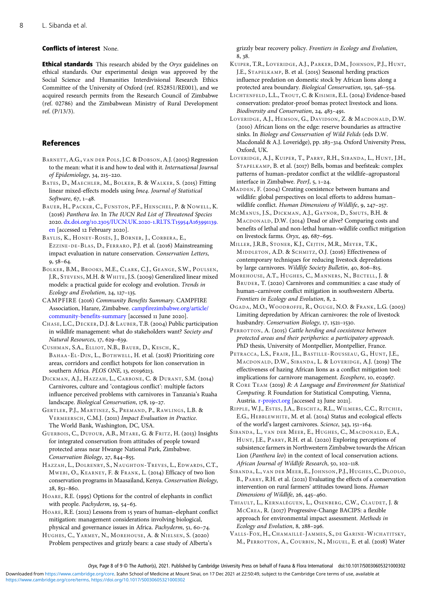#### <span id="page-7-0"></span>Conflicts of interest None.

**Ethical standards** This research abided by the Oryx guidelines on ethical standards. Our experimental design was approved by the Social Science and Humanities Interdivisional Research Ethics Committee of the University of Oxford (ref. R52851/RE001), and we acquired research permits from the Research Council of Zimbabwe (ref. 02786) and the Zimbabwean Ministry of Rural Development ref. (P/13/3).

#### References

- BARNETT, A.G., VAN DER POLS, J.C. & DOBSON, A.J. (2005) Regression to the mean: what it is and how to deal with it. International Journal of Epidemiology, 34, 215-220.
- BATES, D., MAECHLER, M., BOLKER, B. & WALKER, S. (2015) Fitting linear mixed-effects models using lme4. Journal of Statistical Software, 67, 1-48.
- BAUER, H., PACKER, C., FUNSTON, P.F., HENSCHEL, P. & NOWELL, K. (2016) Panthera leo. In The IUCN Red List of Threatened Species 2020. dx.doi.org/10.2305[/IUCN.UK.](https://dx.doi.org/10.2305/IUCN.UK.2020-1.RLTS.T15954A163991139.en)2020-1.RLTS.T15954A163991139. [en](https://dx.doi.org/10.2305/IUCN.UK.2020-1.RLTS.T15954A163991139.en) [accessed 12 February 2020].
- BAYLIS, K., HONEY-ROSÉS, J., BÖRNER, J., CORBERA, E., EZZINE-DE-BLAS, D., FERRARO, P.J. et al. (2016) Mainstreaming impact evaluation in nature conservation. Conservation Letters,  $9,58-64.$
- BOLKER, B.M., BROOKS, M.E., CLARK, C.J., GEANGE, S.W., POULSEN, J.R., STEVENS, M.H. & WHITE, J.S. (2009) Generalized linear mixed models: a practical guide for ecology and evolution. Trends in Ecology and Evolution, 24, 127-135.
- CAMPFIRE (2016) Community Benefits Summary. CAMPFIRE Association, Harare, Zimbabwe. [campfirezimbabwe.org/article/](http://www.campfirezimbabwe.org/article/community-benefits-summary) [community-benefits-summary](http://www.campfirezimbabwe.org/article/community-benefits-summary) [accessed 11 June 2020].
- CHASE, L.C., DECKER, D.J. & LAUBER, T.B. (2004) Public participation in wildlife management: what do stakeholders want? Society and Natural Resources, 17, 629-639.
- CUSHMAN, S.A., ELLIOT, N.B., BAUER, D., KESCH, K., BAHAA-EL-DIN, L., BOTHWELL, H. et al. (2018) Prioritizing core areas, corridors and conflict hotspots for lion conservation in southern Africa. PLOS ONE, 13, e0196213.
- DICKMAN, A.J., HAZZAH, L., CARBONE, C. & DURANT, S.M. (2014) Carnivores, culture and 'contagious conflict': multiple factors influence perceived problems with carnivores in Tanzania's Ruaha landscape. Biological Conservation, 178, 19-27.
- GERTLER, P.J., MARTINEZ, S., PREMAND, P., RAWLINGS, L.B. & VERMEERSCH, C.M.J. (2011) Impact Evaluation in Practice. The World Bank, Washington, DC, USA.
- GUERBOIS, C., DUFOUR, A.B., MTARE, G. & FRITZ, H. (2013) Insights for integrated conservation from attitudes of people toward protected areas near Hwange National Park, Zimbabwe. Conservation Biology, 27, 844-855.
- HAZZAH, L., DOLRENRY, S., NAUGHTON-TREVES , L., EDWARDS, C.T., MWEBI, O., KEARNEY, F. & FRANK, L. (2014) Efficacy of two lion conservation programs in Maasailand, Kenya. Conservation Biology,  $28, 851 - 860.$
- HOARE, R.E. (1995) Options for the control of elephants in conflict with people. Pachyderm, 19, 54-63.
- HOARE, R.E. (2012) Lessons from 15 years of human-elephant conflict mitigation: management considerations involving biological, physical and governance issues in Africa. Pachyderm, 51, 60-74.
- HUGHES, C., YARMEY, N., MOREHOUSE, A. & NIELSEN, S. (2020) Problem perspectives and grizzly bears: a case study of Alberta's

grizzly bear recovery policy. Frontiers in Ecology and Evolution, 8, 38.

- KUIPER, T.R., LOVERIDGE, A.J., PARKER, D.M., JOHNSON, P.J., HUNT, J.E., STAPELKAMP, B. et al. (2015) Seasonal herding practices influence predation on domestic stock by African lions along a protected area boundary. Biological Conservation, 191, 546-554.
- LICHTENFELD, L.L., TROUT, C. & KISIMIR, E.L. (2014) Evidence-based conservation: predator-proof bomas protect livestock and lions. Biodiversity and Conservation, 24, 483-491.
- LOVERIDGE, A.J., HEMSON, G., DAVIDSON, Z. & MACDONALD, D.W. (2010) African lions on the edge: reserve boundaries as attractive sinks. In Biology and Conservation of Wild Felids (eds D.W. Macdonald & A.J. Loveridge), pp. 283-314. Oxford University Press, Oxford, UK.
- LOVERIDGE, A.J., KUIPER, T., PARRY, R.H., SIBANDA, L., HUNT, J.H., STAPELKAMP, B. et al. (2017) Bells, bomas and beefsteak: complex patterns of human–predator conflict at the wildlife–agropastoral interface in Zimbabwe. PeerJ, 5, 1-24.
- MADDEN, F. (2004) Creating coexistence between humans and wildlife: global perspectives on local efforts to address human– wildlife conflict. Human Dimensions of Wildlife, 9, 247-257.
- MCMANUS, J.S., DICKMAN, A.J., GAYNOR, D., SMUTS, B.H. & MACDONALD, D.W. (2014) Dead or alive? Comparing costs and benefits of lethal and non-lethal human–wildlife conflict mitigation on livestock farms. Oryx, 49,  $687-695$ .
- MILLER, J.R.B., STONER, K.J., CEJTIN, M.R., MEYER, T.K., MIDDLETON, A.D. & SCHMITZ, O.J. (2016) Effectiveness of contemporary techniques for reducing livestock depredations by large carnivores. Wildlife Society Bulletin, 40, 806-815.
- MOREHOUSE, A.T., HUGHES, C., MANNERS, N., BECTELL, J. & BRUDER, T. (2020) Carnivores and communities: a case study of human–carnivore conflict mitigation in southwestern Alberta. Frontiers in Ecology and Evolution, 8, 2.
- OGADA, M.O., WOODROFFE, R., OGUGE, N.O. & FRANK, L.G. (2003) Limiting depredation by African carnivores: the role of livestock husbandry. Conservation Biology, 17, 1521-1530.
- PERROTTON, A. (2015) Cattle herding and coexistence between protected areas and their peripheries: a participatory approach. PhD thesis, University of Montpellier, Montpellier, France.
- PETRACCA, L.S., FRAIR, J.L., BASTILLE-ROUSSEAU, G., HUNT, J.E., MACDONALD, D.W., SIBANDA, L. & LOVERIDGE, A.J. (2019) The effectiveness of hazing African lions as a conflict mitigation tool: implications for carnivore management. Ecosphere, 10, e02967.
- R CORE TEAM (2019) R: A Language and Environment for Statistical Computing. R Foundation for Statistical Computing, Vienna, Austria. [r-project.org](https://www.r-project.org) [accessed 23 June 2021].
- RIPPLE, W.J., ESTES, J.A., BESCHTA, R.L., WILMERS, C.C., RITCHIE, E.G., HEBBLEWHITE, M. et al. (2014) Status and ecological effects of the world's largest carnivores. Science, 343, 151-164.
- SIBANDA, L., VAN DER MEER, E., HUGHES, C., MACDONALD, E.A., HUNT, J.E., PARRY, R.H. et al. (2020) Exploring perceptions of subsistence farmers in Northwestern Zimbabwe towards the African Lion (Panthera leo) in the context of local conservation actions. African Journal of Wildlife Research, 50, 102-118.
- SIBANDA, L., VAN DER MEER, E., JOHNSON, P.J., HUGHES, C., DLODLO, B., PARRY, R.H. et al. (2021) Evaluating the effects of a conservation intervention on rural farmers' attitudes toward lions. Human Dimensions of Wildlife, 26, 445-460.
- THIAULT, L., KERNALÉGUEN, L., OSENBERG, C.W., CLAUDET, J. & MCCREA, R. (2017) Progressive-Change BACIPS: a flexible approach for environmental impact assessment. Methods in Ecology and Evolution, 8, 288-296.
- VALLS-FOX, H., CHAMAILLÉ- JAMMES, S., DE GARINE-WICHATITSKY, M., PERROTTON, A., COURBIN, N., MIGUEL, E. et al. (2018) Water